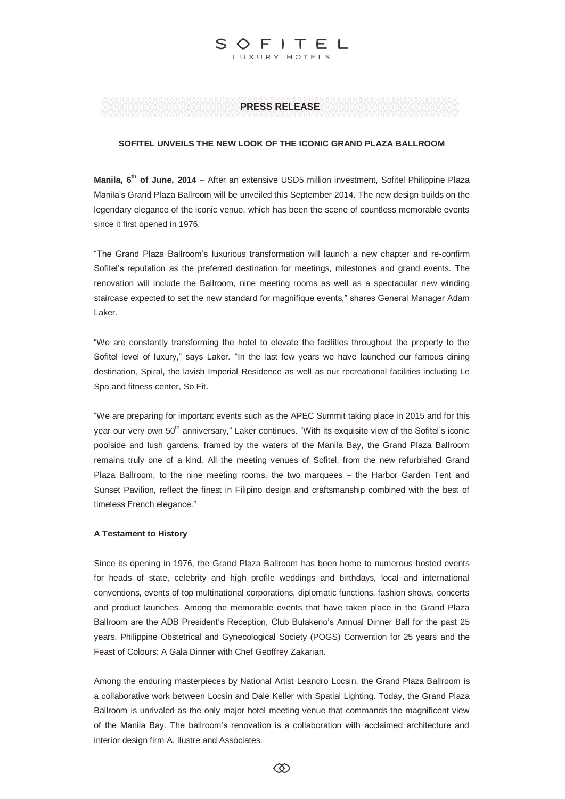# **PRESS RELEASE**

LUXURY HOTELS

 $FITFI$ 

S

## **SOFITEL UNVEILS THE NEW LOOK OF THE ICONIC GRAND PLAZA BALLROOM**

Manila, 6<sup>th</sup> of June, 2014 - After an extensive USD5 million investment, Sofitel Philippine Plaza Manila's Grand Plaza Ballroom will be unveiled this September 2014. The new design builds on the legendary elegance of the iconic venue, which has been the scene of countless memorable events since it first opened in 1976.

"The Grand Plaza Ballroom's luxurious transformation will launch a new chapter and re-confirm Sofitel's reputation as the preferred destination for meetings, milestones and grand events. The renovation will include the Ballroom, nine meeting rooms as well as a spectacular new winding staircase expected to set the new standard for magnifique events," shares General Manager Adam Laker.

"We are constantly transforming the hotel to elevate the facilities throughout the property to the Sofitel level of luxury," says Laker. "In the last few years we have launched our famous dining destination, Spiral, the lavish Imperial Residence as well as our recreational facilities including Le Spa and fitness center, So Fit.

"We are preparing for important events such as the APEC Summit taking place in 2015 and for this year our very own 50<sup>th</sup> anniversary," Laker continues. "With its exquisite view of the Sofitel's iconic poolside and lush gardens, framed by the waters of the Manila Bay, the Grand Plaza Ballroom remains truly one of a kind. All the meeting venues of Sofitel, from the new refurbished Grand Plaza Ballroom, to the nine meeting rooms, the two marquees – the Harbor Garden Tent and Sunset Pavilion, reflect the finest in Filipino design and craftsmanship combined with the best of timeless French elegance."

## **A Testament to History**

Since its opening in 1976, the Grand Plaza Ballroom has been home to numerous hosted events for heads of state, celebrity and high profile weddings and birthdays, local and international conventions, events of top multinational corporations, diplomatic functions, fashion shows, concerts and product launches. Among the memorable events that have taken place in the Grand Plaza Ballroom are the ADB President's Reception, Club Bulakeno's Annual Dinner Ball for the past 25 years, Philippine Obstetrical and Gynecological Society (POGS) Convention for 25 years and the Feast of Colours: A Gala Dinner with Chef Geoffrey Zakarian.

Among the enduring masterpieces by National Artist Leandro Locsin, the Grand Plaza Ballroom is a collaborative work between Locsin and Dale Keller with Spatial Lighting. Today, the Grand Plaza Ballroom is unrivaled as the only major hotel meeting venue that commands the magnificent view of the Manila Bay. The ballroom's renovation is a collaboration with acclaimed architecture and interior design firm A. Ilustre and Associates.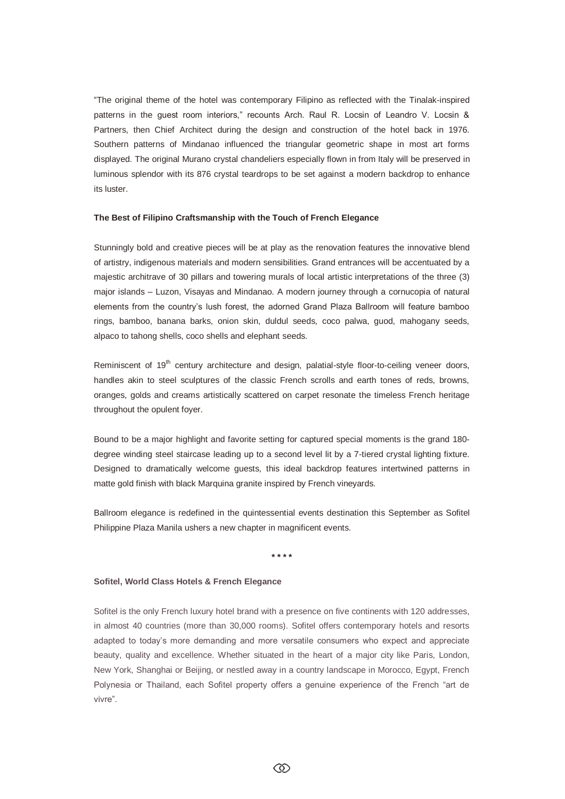"The original theme of the hotel was contemporary Filipino as reflected with the Tinalak-inspired patterns in the guest room interiors," recounts Arch. Raul R. Locsin of Leandro V. Locsin & Partners, then Chief Architect during the design and construction of the hotel back in 1976. Southern patterns of Mindanao influenced the triangular geometric shape in most art forms displayed. The original Murano crystal chandeliers especially flown in from Italy will be preserved in luminous splendor with its 876 crystal teardrops to be set against a modern backdrop to enhance its luster.

#### **The Best of Filipino Craftsmanship with the Touch of French Elegance**

Stunningly bold and creative pieces will be at play as the renovation features the innovative blend of artistry, indigenous materials and modern sensibilities. Grand entrances will be accentuated by a majestic architrave of 30 pillars and towering murals of local artistic interpretations of the three (3) major islands – Luzon, Visayas and Mindanao. A modern journey through a cornucopia of natural elements from the country's lush forest, the adorned Grand Plaza Ballroom will feature bamboo rings, bamboo, banana barks, onion skin, duldul seeds, coco palwa, guod, mahogany seeds, alpaco to tahong shells, coco shells and elephant seeds.

Reminiscent of  $19<sup>th</sup>$  century architecture and design, palatial-style floor-to-ceiling veneer doors, handles akin to steel sculptures of the classic French scrolls and earth tones of reds, browns, oranges, golds and creams artistically scattered on carpet resonate the timeless French heritage throughout the opulent foyer.

Bound to be a major highlight and favorite setting for captured special moments is the grand 180 degree winding steel staircase leading up to a second level lit by a 7-tiered crystal lighting fixture. Designed to dramatically welcome guests, this ideal backdrop features intertwined patterns in matte gold finish with black Marquina granite inspired by French vineyards.

Ballroom elegance is redefined in the quintessential events destination this September as Sofitel Philippine Plaza Manila ushers a new chapter in magnificent events.

**\* \* \* \***

## **Sofitel, World Class Hotels & French Elegance**

Sofitel is the only French luxury hotel brand with a presence on five continents with 120 addresses, in almost 40 countries (more than 30,000 rooms). Sofitel offers contemporary hotels and resorts adapted to today's more demanding and more versatile consumers who expect and appreciate beauty, quality and excellence. Whether situated in the heart of a major city like Paris, London, New York, Shanghai or Beijing, or nestled away in a country landscape in Morocco, Egypt, French Polynesia or Thailand, each Sofitel property offers a genuine experience of the French "art de vivre".